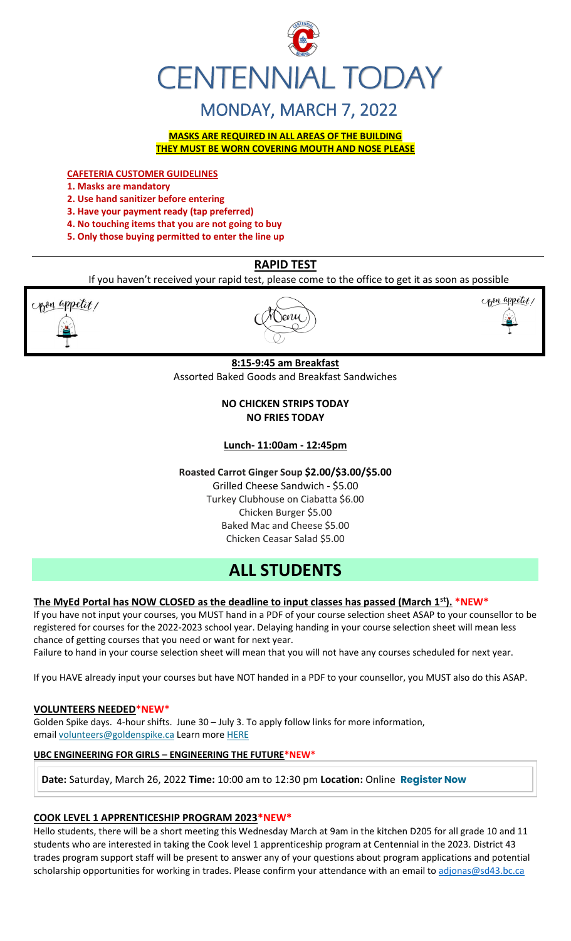

# MONDAY, MARCH 7, 2022

**MASKS ARE REQUIRED IN ALL AREAS OF THE BUILDING THEY MUST BE WORN COVERING MOUTH AND NOSE PLEASE**

**CAFETERIA CUSTOMER GUIDELINES**

- **1. Masks are mandatory**
- **2. Use hand sanitizer before entering**
- **3. Have your payment ready (tap preferred)**
- **4. No touching items that you are not going to buy**
- **5. Only those buying permitted to enter the line up**

## **RAPID TEST**

If you haven't received your rapid test, please come to the office to get it as soon as possible





## **8:15-9:45 am Breakfast** Assorted Baked Goods and Breakfast Sandwiches

## **NO CHICKEN STRIPS TODAY NO FRIES TODAY**

**Lunch- 11:00am - 12:45pm**

**Roasted Carrot Ginger Soup \$2.00/\$3.00/\$5.00** Grilled Cheese Sandwich - \$5.00 Turkey Clubhouse on Ciabatta \$6.00 Chicken Burger \$5.00 Baked Mac and Cheese \$5.00 Chicken Ceasar Salad \$5.00

# **ALL STUDENTS**

## **The MyEd Portal has NOW CLOSED as the deadline to input classes has passed (March 1st). \*NEW\***

If you have not input your courses, you MUST hand in a PDF of your course selection sheet ASAP to your counsellor to be registered for courses for the 2022-2023 school year. Delaying handing in your course selection sheet will mean less chance of getting courses that you need or want for next year.

Failure to hand in your course selection sheet will mean that you will not have any courses scheduled for next year.

If you HAVE already input your courses but have NOT handed in a PDF to your counsellor, you MUST also do this ASAP.

## **VOLUNTEERS NEEDED\*NEW\***

Golden Spike days. 4-hour shifts. June 30 – July 3. To apply follow links for more information, email [volunteers@goldenspike.ca](mailto:volunteers@goldenspike.ca) Learn more [HERE](https://c-wm904.na1.hubspotlinksfree.com/Btc/W2+113/c-WM904/DWYfY3svlvW3Tbr0z7KVxn8W4KxtYX4FW50JN7dHCvk3lSc3V1-WJV7CgMxbV3smF85QT2hwW6lg1KY32M9PdW8NkZrN3cg7-QW76CRwD8r4jH4W7yTh8Y1XQGMzW7B5FQg7M6KW5W87mWdX3ktK-DW23Gt8Y4CscWkW1mT9Fy5H89ZqW66gSc76qLs_3W3XXTn22MFw35N2zGF_JjZ_QJW85NX_j2kB6QzW7nS80g3_fsx_W6jswXn4S5Wj4W4H8K9n4lzxsWW5tkCB526gmzbW5zvnGd1VjFzDW5pWbf47fdpVNN2gTyRbmvWF9N8xzMDZ7znvrW6Hg6PD4sTt8cW7mdYm-1qJZdfW1z0CgP7DZkhF37Qj1)

## **UBC ENGINEERING FOR GIRLS – ENGINEERING THE FUTURE\*NEW\***

**Date:** Saturday, March 26, 2022 **Time:** 10:00 am to 12:30 pm **Location:** Online **[Register Now](https://usend.ubc.ca/sendy/l/rIVID892cGlXFhKkqDAP4pPw/2KZZzB8auY0CbfN3AeQQPQ/2NVMXaF6kwoqb0Zu2zyabA)**

## **COOK LEVEL 1 APPRENTICESHIP PROGRAM 2023\*NEW\***

Hello students, there will be a short meeting this Wednesday March at 9am in the kitchen D205 for all grade 10 and 11 students who are interested in taking the Cook level 1 apprenticeship program at Centennial in the 2023. District 43 trades program support staff will be present to answer any of your questions about program applications and potential scholarship opportunities for working in trades. Please confirm your attendance with an email to [adjonas@sd43.bc.ca](mailto:adjonas@sd43.bc.ca)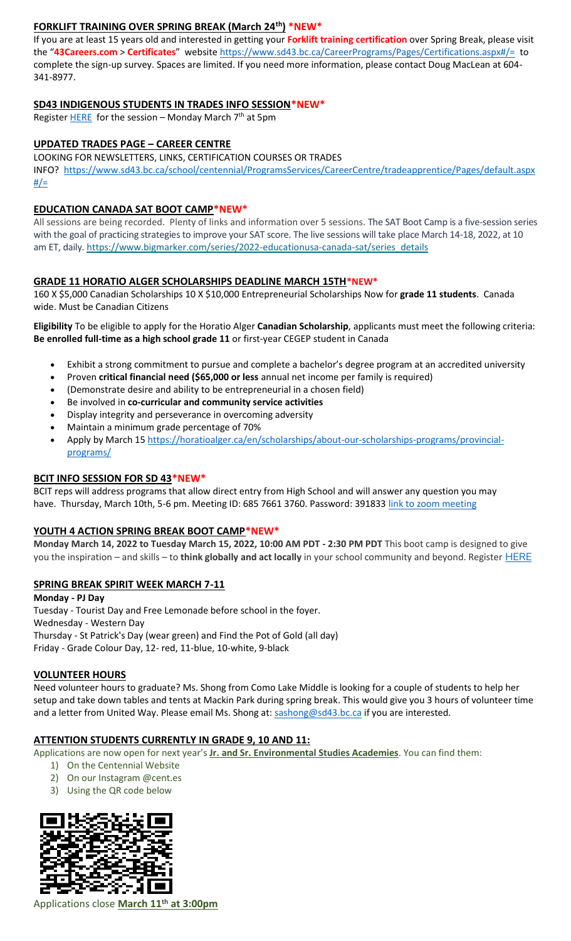## **FORKLIFT TRAINING OVER SPRING BREAK (March 24th) \*NEW\***

If you are at least 15 years old and interested in getting your **Forklift training certification** over Spring Break, please visit the "**43Careers.com** > **Certificates**" websit[e https://www.sd43.bc.ca/CareerPrograms/Pages/Certifications.aspx#/=](https://www.sd43.bc.ca/CareerPrograms/Pages/Certifications.aspx#/=) to complete the sign-up survey. Spaces are limited. If you need more information, please contact Doug MacLean at 604- 341-8977.

## **SD43 INDIGENOUS STUDENTS IN TRADES INFO SESSION\*NEW\***

Register  $HERE$  for the session – Monday March  $7<sup>th</sup>$  at 5pm

## **UPDATED TRADES PAGE – CAREER CENTRE**

LOOKING FOR NEWSLETTERS, LINKS, CERTIFICATION COURSES OR TRADES

INFO? [https://www.sd43.bc.ca/school/centennial/ProgramsServices/CareerCentre/tradeapprentice/Pages/default.aspx](https://www.sd43.bc.ca/school/centennial/ProgramsServices/CareerCentre/tradeapprentice/Pages/default.aspx#/=)  $#/=$ 

## **EDUCATION CANADA SAT BOOT CAMP\*NEW\***

All sessions are being recorded. Plenty of links and information over 5 sessions. The SAT Boot Camp is a five-session series with the goal of practicing strategies to improve your SAT score. The live sessions will take place March 14-18, 2022, at 10 am ET, daily. [https://www.bigmarker.com/series/2022-educationusa-canada-sat/series\\_details](https://www.bigmarker.com/series/2022-educationusa-canada-sat/series_details)

### **GRADE 11 HORATIO ALGER SCHOLARSHIPS DEADLINE MARCH 15TH\*NEW\***

160 X \$5,000 Canadian Scholarships 10 X \$10,000 Entrepreneurial Scholarships Now for **grade 11 students**. Canada wide. Must be Canadian Citizens

**Eligibility** To be eligible to apply for the Horatio Alger **Canadian Scholarship**, applicants must meet the following criteria: **Be enrolled full-time as a high school grade 11** or first-year CEGEP student in Canada

- Exhibit a strong commitment to pursue and complete a bachelor's degree program at an accredited university
- Proven **critical financial need (\$65,000 or less** annual net income per family is required)
- (Demonstrate desire and ability to be entrepreneurial in a chosen field)
- Be involved in **co-curricular and community service activities**
- Display integrity and perseverance in overcoming adversity
- Maintain a minimum grade percentage of 70%
- Apply by March 15 [https://horatioalger.ca/en/scholarships/about-our-scholarships-programs/provincial](https://horatioalger.ca/en/scholarships/about-our-scholarships-programs/provincial-programs/)[programs/](https://horatioalger.ca/en/scholarships/about-our-scholarships-programs/provincial-programs/)

#### **BCIT INFO SESSION FOR SD 43\*NEW\***

BCIT reps will address programs that allow direct entry from High School and will answer any question you may have. Thursday, March 10th, 5-6 pm. Meeting ID: 685 7661 3760. Password: 391833 [link to zoom meeting](https://bcit.zoom.us/j/68576613760?pwd=UkwrYjVZQVVrWUdXdFVXdEpGQXBOQT09#success)

## **YOUTH 4 ACTION SPRING BREAK BOOT CAMP\*NEW\***

**Monday March 14, 2022 to Tuesday March 15, 2022, 10:00 AM PDT - 2:30 PM PDT** This boot camp is designed to give you the inspiration – and skills – to **think globally and act locally** in your school community and beyond. Register [HERE](https://registration.metrovancouver.org/youth4action/Pages/Think-Global-Plan-Lead-Local-Mar14-15.aspx)

#### **SPRING BREAK SPIRIT WEEK MARCH 7-11**

**Monday - PJ Day** Tuesday - Tourist Day and Free Lemonade before school in the foyer. Wednesday - Western Day Thursday - St Patrick's Day (wear green) and Find the Pot of Gold (all day) Friday - Grade Colour Day, 12- red, 11-blue, 10-white, 9-black

#### **VOLUNTEER HOURS**

Need volunteer hours to graduate? Ms. Shong from Como Lake Middle is looking for a couple of students to help her setup and take down tables and tents at Mackin Park during spring break. This would give you 3 hours of volunteer time and a letter from United Way. Please email Ms. Shong at: [sashong@sd43.bc.ca](mailto:sashong@sd43.bc.ca) if you are interested.

#### **ATTENTION STUDENTS CURRENTLY IN GRADE 9, 10 AND 11:**

Applications are now open for next year's **Jr. and Sr. Environmental Studies Academies**. You can find them:

- 1) On the Centennial Website
- 2) On our Instagram @cent.es
- 3) Using the QR code below



Applications close **March 11th at 3:00pm**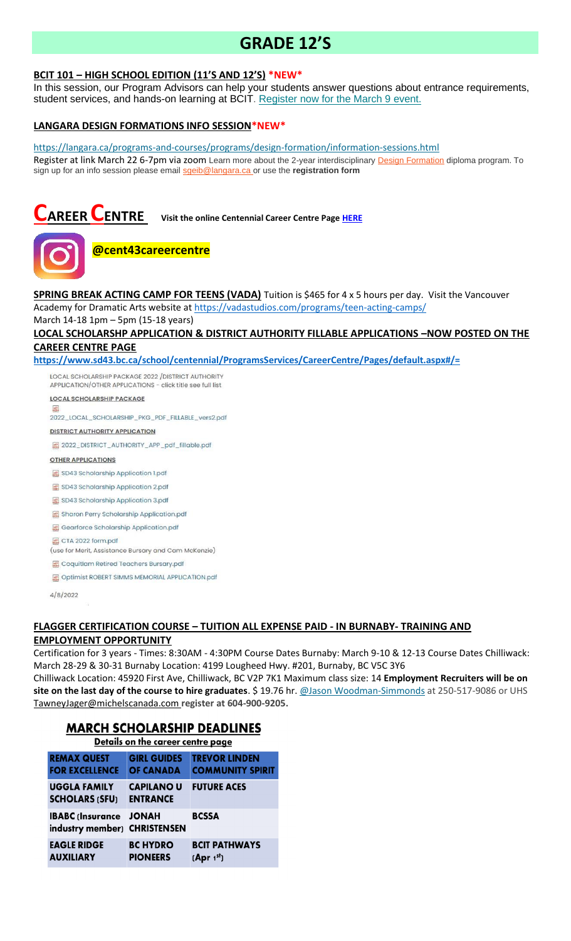# **GRADE 12'S**

## **BCIT 101 – HIGH SCHOOL EDITION (11'S AND 12'S) \*NEW\***

In this session, our Program Advisors can help your students answer questions about entrance requirements, student services, and hands-on learning at BCIT. [Register now for the March 9 event.](https://bcit.us8.list-manage.com/track/click?u=daf05330755626307efc8f07f&id=7cc7391ed9&e=b29846f095)

## **LANGARA DESIGN FORMATIONS INFO SESSION\*NEW\***

<https://langara.ca/programs-and-courses/programs/design-formation/information-sessions.html> Register at link March 22 6-7pm via zoom Learn more about the 2-year interdisciplinary [Design Formation](https://langara.ca/programs-and-courses/programs/design-formation/index.html) diploma program. To sign up for an info session please email [sgeib@langara.ca](mailto:sgeib@langara.ca) or use the **registration form**

**CAREER CENTRE Visit the online Centennial Career Centre Page [HERE](https://www.sd43.bc.ca/school/centennial/ProgramsServices/CareerCentre/experiences/Pages/default.aspx#/=)**



pdf

## **@cent43careercentre**

**SPRING BREAK ACTING CAMP FOR TEENS (VADA)** Tuition is \$465 for 4 x 5 hours per day. Visit the Vancouver Academy for Dramatic Arts website at<https://vadastudios.com/programs/teen-acting-camps/>

March 14-18 1pm – 5pm (15-18 years)

## **LOCAL SCHOLARSHP APPLICATION & DISTRICT AUTHORITY FILLABLE APPLICATIONS –NOW POSTED ON THE CAREER CENTRE PAGE**

**<https://www.sd43.bc.ca/school/centennial/ProgramsServices/CareerCentre/Pages/default.aspx#/=>**

LOCAL SCHOLARSHIP PACKAGE 2022 / DISTRICT AUTHORITY APPLICATION/OTHER APPLICATIONS - click title see full list

**LOCAL SCHOLARSHIP PACKAGE** 

2022\_LOCAL\_SCHOLARSHIP\_PKG\_PDF\_FILLABLE\_vers2.pdf

**DISTRICT AUTHORITY APPLICATION** 

图 2022\_DISTRICT\_AUTHORITY\_APP\_pdf\_fillable.pdf

**OTHER APPLICATIONS** 

SD43 Scholarship Application 1.pdf

SD43 Scholarship Application 2.pdf

SD43 Scholarship Application 3.pdf

Sharon Perry Scholarship Application.pdf

Gearforce Scholarship Application.pdf

圖 CTA 2022 form.pdf

(use for Merit, Assistance Bursary and Cam McKenzie)

Coquitlam Retired Teachers Bursary.pdf

Optimist ROBERT SIMMS MEMORIAL APPLICATION.pdf

4/8/2022

#### **FLAGGER CERTIFICATION COURSE – TUITION ALL EXPENSE PAID - IN BURNABY- TRAINING AND EMPLOYMENT OPPORTUNITY**

Certification for 3 years - Times: 8:30AM - 4:30PM Course Dates Burnaby: March 9-10 & 12-13 Course Dates Chilliwack: March 28-29 & 30-31 Burnaby Location: 4199 Lougheed Hwy. #201, Burnaby, BC V5C 3Y6

Chilliwack Location: 45920 First Ave, Chilliwack, BC V2P 7K1 Maximum class size: 14 **Employment Recruiters will be on site on the last day of the course to hire graduates**. \$ 19.76 hr. [@Jason Woodman-Simmonds](mailto:JasonWoodman-Simmonds@michelscanada.com) at 250-517-9086 or UHS [TawneyJager@michelscanada.com](mailto:TawneyJager@michelscanada.com) **register at 604-900-9205.**

## **MARCH SCHOLARSHIP DEADLINES**

| Details on the career centre page |                                                         |                                        |                                                 |
|-----------------------------------|---------------------------------------------------------|----------------------------------------|-------------------------------------------------|
|                                   | <b>REMAX QUEST</b><br><b>FOR EXCELLENCE</b>             | <b>GIRL GUIDES</b><br><b>OF CANADA</b> | <b>TREVOR LINDEN</b><br><b>COMMUNITY SPIRIT</b> |
|                                   | <b>UGGLA FAMILY</b><br><b>SCHOLARS (SFU)</b>            | <b>CAPILANO U</b><br><b>ENTRANCE</b>   | <b>FUTURE ACES</b>                              |
|                                   | <b>IBABC</b> (Insurance<br>industry member) CHRISTENSEN | <b>JONAH</b>                           | <b>BCSSA</b>                                    |
|                                   | <b>EAGLE RIDGE</b><br><b>AUXILIARY</b>                  | <b>BC HYDRO</b><br><b>PIONEERS</b>     | <b>BCIT PATHWAYS</b><br>[Apr 1 <sup>st</sup> ]  |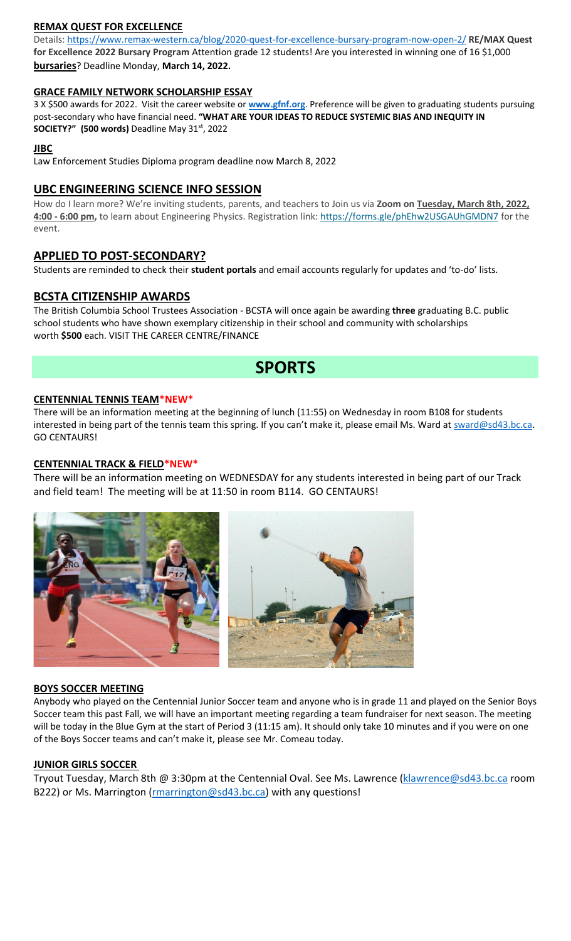## **REMAX QUEST FOR EXCELLENCE**

Details:<https://www.remax-western.ca/blog/2020-quest-for-excellence-bursary-program-now-open-2/> **RE/MAX Quest for Excellence 2022 Bursary Program** Attention grade 12 students! Are you interested in winning one of 16 \$1,000 **bursaries**? Deadline Monday, **March 14, 2022.** 

## **GRACE FAMILY NETWORK SCHOLARSHIP ESSAY**

3 X \$500 awards for 2022. Visit the career website or **[www.gfnf.org](http://www.gfnf.org/)**. Preference will be given to graduating students pursuing post-secondary who have financial need. **"WHAT ARE YOUR IDEAS TO REDUCE SYSTEMIC BIAS AND INEQUITY IN SOCIETY?" (500 words)** Deadline May 31st, 2022

## **JIBC**

Law Enforcement Studies Diploma program deadline now March 8, 2022

## **UBC ENGINEERING SCIENCE INFO SESSION**

How do I learn more? We're inviting students, parents, and teachers to Join us via **Zoom on Tuesday, March 8th, 2022, 4:00 - 6:00 pm,** to learn about Engineering Physics. Registration link: <https://forms.gle/phEhw2USGAUhGMDN7> for the event.

## **APPLIED TO POST-SECONDARY?**

Students are reminded to check their **student portals** and email accounts regularly for updates and 'to-do' lists.

## **BCSTA CITIZENSHIP AWARDS**

The British Columbia School Trustees Association - BCSTA will once again be awarding **three** graduating B.C. public school students who have shown exemplary citizenship in their school and community with scholarships worth **\$500** each. VISIT THE CAREER CENTRE/FINANCE

# **SPORTS**

## **CENTENNIAL TENNIS TEAM\*NEW\***

There will be an information meeting at the beginning of lunch (11:55) on Wednesday in room B108 for students interested in being part of the tennis team this spring. If you can't make it, please email Ms. Ward at [sward@sd43.bc.ca.](mailto:sward@sd43.bc.ca) GO CENTAURS!

## **CENTENNIAL TRACK & FIELD\*NEW\***

There will be an information meeting on WEDNESDAY for any students interested in being part of our Track and field team! The meeting will be at 11:50 in room B114. GO CENTAURS!



## **BOYS SOCCER MEETING**

Anybody who played on the Centennial Junior Soccer team and anyone who is in grade 11 and played on the Senior Boys Soccer team this past Fall, we will have an important meeting regarding a team fundraiser for next season. The meeting will be today in the Blue Gym at the start of Period 3 (11:15 am). It should only take 10 minutes and if you were on one of the Boys Soccer teams and can't make it, please see Mr. Comeau today.

## **JUNIOR GIRLS SOCCER**

Tryout Tuesday, March 8th @ 3:30pm at the Centennial Oval. See Ms. Lawrence [\(klawrence@sd43.bc.ca](mailto:klawrence@sd43.bc.ca) room B222) or Ms. Marrington [\(rmarrington@sd43.bc.ca\)](mailto:rmarrington@sd43.bc.ca) with any questions!